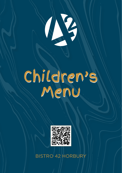

## Children's Menu Children's Menu



BISTRO 42 HORBURY